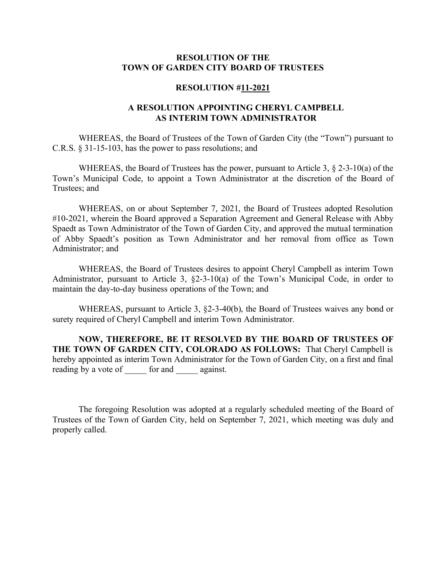## **RESOLUTION OF THE TOWN OF GARDEN CITY BOARD OF TRUSTEES**

## **RESOLUTION #11-2021**

## **A RESOLUTION APPOINTING CHERYL CAMPBELL AS INTERIM TOWN ADMINISTRATOR**

WHEREAS, the Board of Trustees of the Town of Garden City (the "Town") pursuant to C.R.S. § 31-15-103, has the power to pass resolutions; and

WHEREAS, the Board of Trustees has the power, pursuant to Article 3, § 2-3-10(a) of the Town's Municipal Code, to appoint a Town Administrator at the discretion of the Board of Trustees; and

WHEREAS, on or about September 7, 2021, the Board of Trustees adopted Resolution #10-2021, wherein the Board approved a Separation Agreement and General Release with Abby Spaedt as Town Administrator of the Town of Garden City, and approved the mutual termination of Abby Spaedt's position as Town Administrator and her removal from office as Town Administrator; and

WHEREAS, the Board of Trustees desires to appoint Cheryl Campbell as interim Town Administrator, pursuant to Article 3, §2-3-10(a) of the Town's Municipal Code, in order to maintain the day-to-day business operations of the Town; and

WHEREAS, pursuant to Article 3, §2-3-40(b), the Board of Trustees waives any bond or surety required of Cheryl Campbell and interim Town Administrator.

**NOW, THEREFORE, BE IT RESOLVED BY THE BOARD OF TRUSTEES OF THE TOWN OF GARDEN CITY, COLORADO AS FOLLOWS:** That Cheryl Campbell is hereby appointed as interim Town Administrator for the Town of Garden City, on a first and final reading by a vote of for and against.

The foregoing Resolution was adopted at a regularly scheduled meeting of the Board of Trustees of the Town of Garden City, held on September 7, 2021, which meeting was duly and properly called.